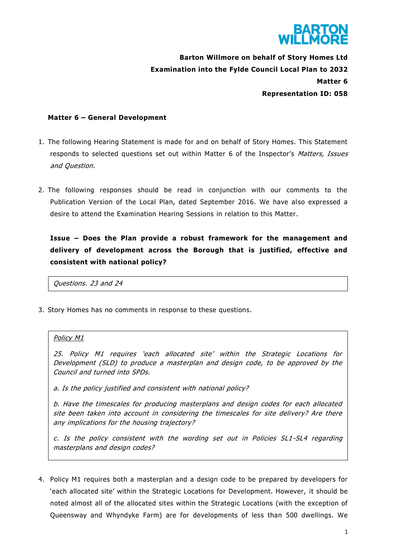

**Barton Willmore on behalf of Story Homes Ltd Examination into the Fylde Council Local Plan to 2032 Matter 6 Representation ID: 058**

## **Matter 6 – General Development**

- 1. The following Hearing Statement is made for and on behalf of Story Homes. This Statement responds to selected questions set out within Matter 6 of the Inspector's Matters, Issues and Question.
- 2. The following responses should be read in conjunction with our comments to the Publication Version of the Local Plan, dated September 2016. We have also expressed a desire to attend the Examination Hearing Sessions in relation to this Matter.

**Issue – Does the Plan provide a robust framework for the management and delivery of development across the Borough that is justified, effective and consistent with national policy?**

Questions. 23 and 24

3. Story Homes has no comments in response to these questions.

## Policy M1

25. Policy M1 requires 'each allocated site' within the Strategic Locations for Development (SLD) to produce a masterplan and design code, to be approved by the Council and turned into SPDs.

a. Is the policy justified and consistent with national policy?

b. Have the timescales for producing masterplans and design codes for each allocated site been taken into account in considering the timescales for site delivery? Are there any implications for the housing trajectory?

c. Is the policy consistent with the wording set out in Policies SL1-SL4 regarding masterplans and design codes?

4. Policy M1 requires both a masterplan and a design code to be prepared by developers for 'each allocated site' within the Strategic Locations for Development. However, it should be noted almost all of the allocated sites within the Strategic Locations (with the exception of Queensway and Whyndyke Farm) are for developments of less than 500 dwellings. We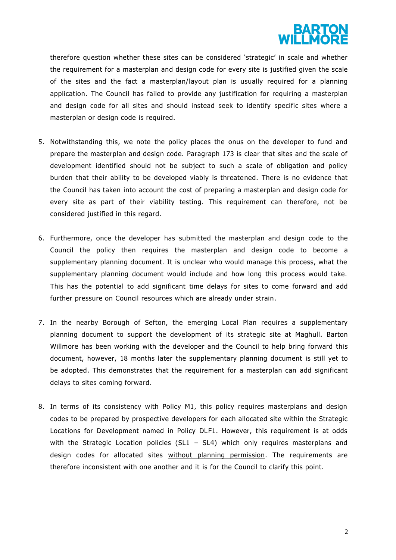

therefore question whether these sites can be considered 'strategic' in scale and whether the requirement for a masterplan and design code for every site is justified given the scale of the sites and the fact a masterplan/layout plan is usually required for a planning application. The Council has failed to provide any justification for requiring a masterplan and design code for all sites and should instead seek to identify specific sites where a masterplan or design code is required.

- 5. Notwithstanding this, we note the policy places the onus on the developer to fund and prepare the masterplan and design code. Paragraph 173 is clear that sites and the scale of development identified should not be subject to such a scale of obligation and policy burden that their ability to be developed viably is threatened. There is no evidence that the Council has taken into account the cost of preparing a masterplan and design code for every site as part of their viability testing. This requirement can therefore, not be considered justified in this regard.
- 6. Furthermore, once the developer has submitted the masterplan and design code to the Council the policy then requires the masterplan and design code to become a supplementary planning document. It is unclear who would manage this process, what the supplementary planning document would include and how long this process would take. This has the potential to add significant time delays for sites to come forward and add further pressure on Council resources which are already under strain.
- 7. In the nearby Borough of Sefton, the emerging Local Plan requires a supplementary planning document to support the development of its strategic site at Maghull. Barton Willmore has been working with the developer and the Council to help bring forward this document, however, 18 months later the supplementary planning document is still yet to be adopted. This demonstrates that the requirement for a masterplan can add significant delays to sites coming forward.
- 8. In terms of its consistency with Policy M1, this policy requires masterplans and design codes to be prepared by prospective developers for each allocated site within the Strategic Locations for Development named in Policy DLF1. However, this requirement is at odds with the Strategic Location policies (SL1  $-$  SL4) which only requires masterplans and design codes for allocated sites without planning permission. The requirements are therefore inconsistent with one another and it is for the Council to clarify this point.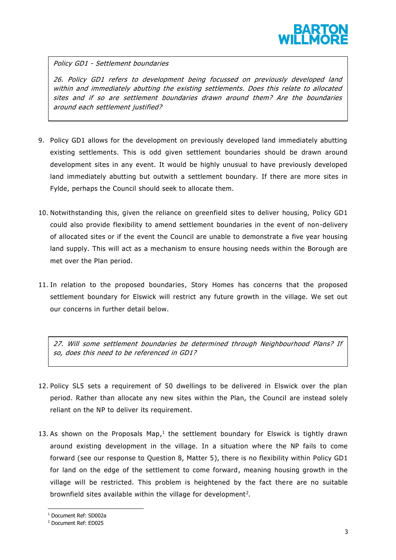

Policy GD1 - Settlement boundaries

26. Policy GD1 refers to development being focussed on previously developed land within and immediately abutting the existing settlements. Does this relate to allocated sites and if so are settlement boundaries drawn around them? Are the boundaries around each settlement justified?

- 9. Policy GD1 allows for the development on previously developed land immediately abutting existing settlements. This is odd given settlement boundaries should be drawn around development sites in any event. It would be highly unusual to have previously developed land immediately abutting but outwith a settlement boundary. If there are more sites in Fylde, perhaps the Council should seek to allocate them.
- 10. Notwithstanding this, given the reliance on greenfield sites to deliver housing, Policy GD1 could also provide flexibility to amend settlement boundaries in the event of non-delivery of allocated sites or if the event the Council are unable to demonstrate a five year housing land supply. This will act as a mechanism to ensure housing needs within the Borough are met over the Plan period.
- 11. In relation to the proposed boundaries, Story Homes has concerns that the proposed settlement boundary for Elswick will restrict any future growth in the village. We set out our concerns in further detail below.

27. Will some settlement boundaries be determined through Neighbourhood Plans? If so, does this need to be referenced in GD1?

- 12. Policy SL5 sets a requirement of 50 dwellings to be delivered in Elswick over the plan period. Rather than allocate any new sites within the Plan, the Council are instead solely reliant on the NP to deliver its requirement.
- 13. As shown on the Proposals Map,<sup>1</sup> the settlement boundary for Elswick is tightly drawn around existing development in the village. In a situation where the NP fails to come forward (see our response to Question 8, Matter 5), there is no flexibility within Policy GD1 for land on the edge of the settlement to come forward, meaning housing growth in the village will be restricted. This problem is heightened by the fact there are no suitable brownfield sites available within the village for development<sup>2</sup>.

**.** 

<sup>1</sup> Document Ref: SD002a

<sup>2</sup> Document Ref: ED025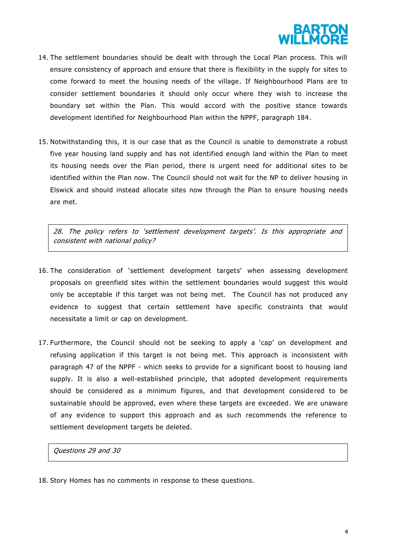

- 14. The settlement boundaries should be dealt with through the Local Plan process. This will ensure consistency of approach and ensure that there is flexibility in the supply for sites to come forward to meet the housing needs of the village. If Neighbourhood Plans are to consider settlement boundaries it should only occur where they wish to increase the boundary set within the Plan. This would accord with the positive stance towards development identified for Neighbourhood Plan within the NPPF, paragraph 184 .
- 15. Notwithstanding this, it is our case that as the Council is unable to demonstrate a robust five year housing land supply and has not identified enough land within the Plan to meet its housing needs over the Plan period, there is urgent need for additional sites to be identified within the Plan now. The Council should not wait for the NP to deliver housing in Elswick and should instead allocate sites now through the Plan to ensure housing needs are met.

28. The policy refers to 'settlement development targets'. Is this appropriate and consistent with national policy?

- 16. The consideration of 'settlement development targets' when assessing development proposals on greenfield sites within the settlement boundaries would suggest this would only be acceptable if this target was not being met. The Council has not produced any evidence to suggest that certain settlement have specific constraints that would necessitate a limit or cap on development.
- 17. Furthermore, the Council should not be seeking to apply a 'cap' on development and refusing application if this target is not being met. This approach is inconsistent with paragraph 47 of the NPPF - which seeks to provide for a significant boost to housing land supply. It is also a well-established principle, that adopted development requirements should be considered as a minimum figures, and that development considered to be sustainable should be approved, even where these targets are exceeded. We are unaware of any evidence to support this approach and as such recommends the reference to settlement development targets be deleted.

Questions 29 and 30

18. Story Homes has no comments in response to these questions.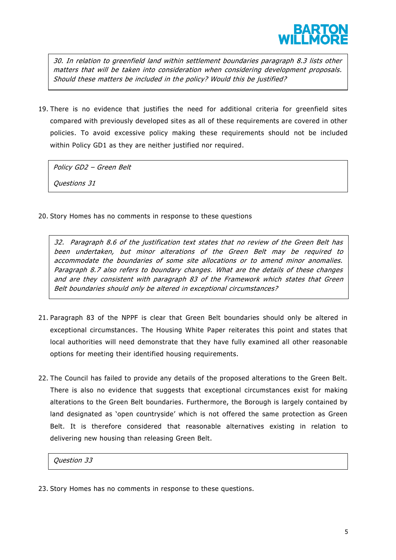

30. In relation to greenfield land within settlement boundaries paragraph 8.3 lists other matters that will be taken into consideration when considering development proposals. Should these matters be included in the policy? Would this be justified?

19. There is no evidence that justifies the need for additional criteria for greenfield sites compared with previously developed sites as all of these requirements are covered in other policies. To avoid excessive policy making these requirements should not be included within Policy GD1 as they are neither justified nor required.

Policy GD2 – Green Belt Questions 31

20. Story Homes has no comments in response to these questions

32. Paragraph 8.6 of the justification text states that no review of the Green Belt has been undertaken, but minor alterations of the Green Belt may be required to accommodate the boundaries of some site allocations or to amend minor anomalies. Paragraph 8.7 also refers to boundary changes. What are the details of these changes and are they consistent with paragraph 83 of the Framework which states that Green Belt boundaries should only be altered in exceptional circumstances?

- 21. Paragraph 83 of the NPPF is clear that Green Belt boundaries should only be altered in exceptional circumstances. The Housing White Paper reiterates this point and states that local authorities will need demonstrate that they have fully examined all other reasonable options for meeting their identified housing requirements.
- 22. The Council has failed to provide any details of the proposed alterations to the Green Belt. There is also no evidence that suggests that exceptional circumstances exist for making alterations to the Green Belt boundaries. Furthermore, the Borough is largely contained by land designated as 'open countryside' which is not offered the same protection as Green Belt. It is therefore considered that reasonable alternatives existing in relation to delivering new housing than releasing Green Belt.

Question 33

23. Story Homes has no comments in response to these questions.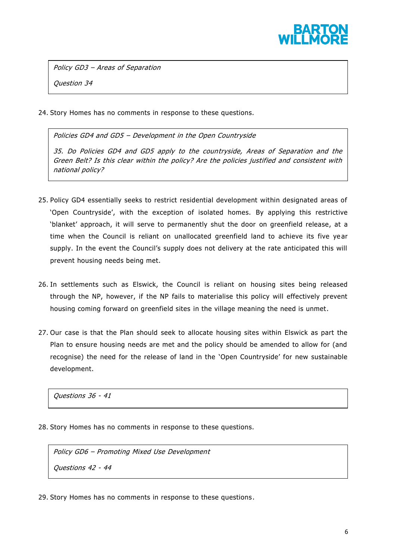

Policy GD3 – Areas of Separation

Question 34

24. Story Homes has no comments in response to these questions.

Policies GD4 and GD5 – Development in the Open Countryside

35. Do Policies GD4 and GD5 apply to the countryside, Areas of Separation and the Green Belt? Is this clear within the policy? Are the policies justified and consistent with national policy?

- 25. Policy GD4 essentially seeks to restrict residential development within designated areas of 'Open Countryside', with the exception of isolated homes. By applying this restrictive 'blanket' approach, it will serve to permanently shut the door on greenfield release, at a time when the Council is reliant on unallocated greenfield land to achieve its five year supply. In the event the Council's supply does not delivery at the rate anticipated this will prevent housing needs being met.
- 26. In settlements such as Elswick, the Council is reliant on housing sites being released through the NP, however, if the NP fails to materialise this policy will effectively prevent housing coming forward on greenfield sites in the village meaning the need is unmet.
- 27. Our case is that the Plan should seek to allocate housing sites within Elswick as part the Plan to ensure housing needs are met and the policy should be amended to allow for (and recognise) the need for the release of land in the 'Open Countryside' for new sustainable development.

Questions 36 - 41

28. Story Homes has no comments in response to these questions.

Policy GD6 – Promoting Mixed Use Development Questions 42 - 44

29. Story Homes has no comments in response to these questions .